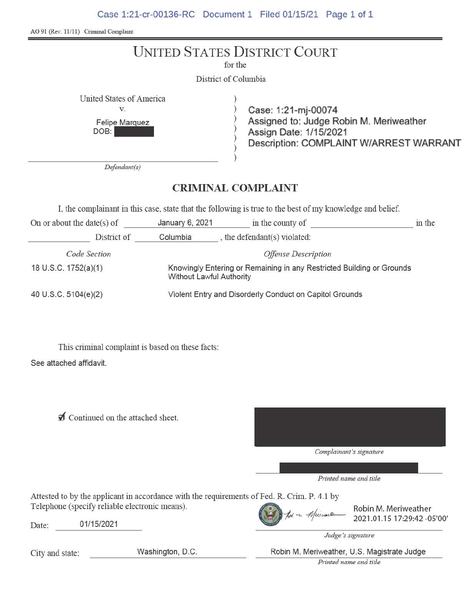Case 1:21-cr-00136-RC Document 1 Filed 01/15/21 Page 1 of 1

| AO 91 (Rev. 11/11) Criminal Complaint                                       |                                                                                                   |                                                                                                                                     |        |  |  |
|-----------------------------------------------------------------------------|---------------------------------------------------------------------------------------------------|-------------------------------------------------------------------------------------------------------------------------------------|--------|--|--|
|                                                                             | for the                                                                                           | <b>UNITED STATES DISTRICT COURT</b>                                                                                                 |        |  |  |
|                                                                             | District of Columbia                                                                              |                                                                                                                                     |        |  |  |
| United States of America<br>V.<br>Felipe Marquez<br>DOB:<br>Defendant(s)    |                                                                                                   | Case: 1:21-mj-00074<br>Assigned to: Judge Robin M. Meriweather<br>Assign Date: 1/15/2021<br>Description: COMPLAINT W/ARREST WARRANT |        |  |  |
|                                                                             |                                                                                                   |                                                                                                                                     |        |  |  |
| <b>CRIMINAL COMPLAINT</b>                                                   |                                                                                                   |                                                                                                                                     |        |  |  |
|                                                                             |                                                                                                   | I, the complainant in this case, state that the following is true to the best of my knowledge and belief.                           |        |  |  |
| On or about the date(s) of                                                  |                                                                                                   | January 6, 2021 in the county of                                                                                                    | in the |  |  |
| Columbia , the defendant(s) violated:<br>District of                        |                                                                                                   |                                                                                                                                     |        |  |  |
| Code Section                                                                |                                                                                                   | <b>Offense Description</b>                                                                                                          |        |  |  |
| 18 U.S.C. 1752(a)(1)                                                        | Knowingly Entering or Remaining in any Restricted Building or Grounds<br>Without Lawful Authority |                                                                                                                                     |        |  |  |
| 40 U.S.C. 5104(e)(2)                                                        | Violent Entry and Disorderly Conduct on Capitol Grounds                                           |                                                                                                                                     |        |  |  |
| This criminal complaint is based on these facts:<br>See attached affidavit. |                                                                                                   |                                                                                                                                     |        |  |  |

 $\blacksquare$  Continued on the attached sheet.

*Complainant's signature* 

*Printed name and title* 

Attested to by the applicant in accordance with the requirements of Fed. R. Crim. P. 4.1 by<br>Telephone (specify reliable electronic means).<br>
2021.01.15 17:29:42 -05'00'

Date: 01/15/2021

*Judge's signature* 

City and state: Washington, D.C. Robin M. Meriweather, U.S. Magistrate Judge

*Printed name and title*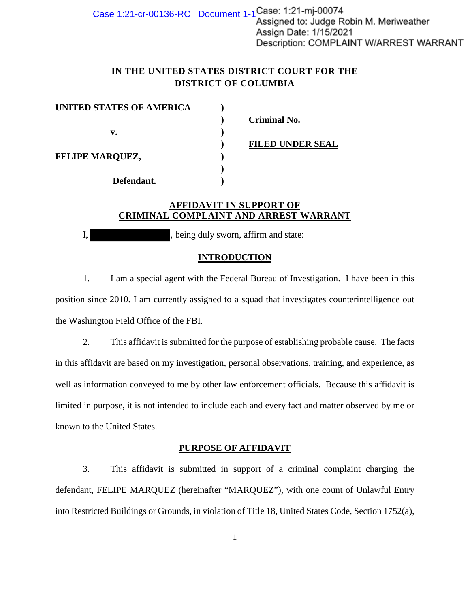Case 1:21-cr-00136-RC Document  $1-1$  Case: 1:21-mj-00074 Assigned to: Judge Robin M. Meriweather Assign Date: 1/15/2021 Description: COMPLAINT W/ARREST WARRANT

# **IN THE UNITED STATES DISTRICT COURT FOR THE DISTRICT OF COLUMBIA**

| UNITED STATES OF AMERICA |                         |
|--------------------------|-------------------------|
|                          | <b>Criminal No.</b>     |
| v.                       |                         |
|                          | <b>FILED UNDER SEAL</b> |
| <b>FELIPE MARQUEZ,</b>   |                         |
|                          |                         |
| Defendant.               |                         |

# **AFFIDAVIT IN SUPPORT OF CRIMINAL COMPLAINT AND ARREST WARRANT**

I, being duly sworn, affirm and state:

# **INTRODUCTION**

1. I am a special agent with the Federal Bureau of Investigation. I have been in this position since 2010. I am currently assigned to a squad that investigates counterintelligence out the Washington Field Office of the FBI.

2. This affidavit is submitted for the purpose of establishing probable cause. The facts in this affidavit are based on my investigation, personal observations, training, and experience, as well as information conveyed to me by other law enforcement officials. Because this affidavit is limited in purpose, it is not intended to include each and every fact and matter observed by me or known to the United States.

# **PURPOSE OF AFFIDAVIT**

3. This affidavit is submitted in support of a criminal complaint charging the defendant, FELIPE MARQUEZ (hereinafter "MARQUEZ"), with one count of Unlawful Entry into Restricted Buildings or Grounds, in violation of Title 18, United States Code, Section 1752(a),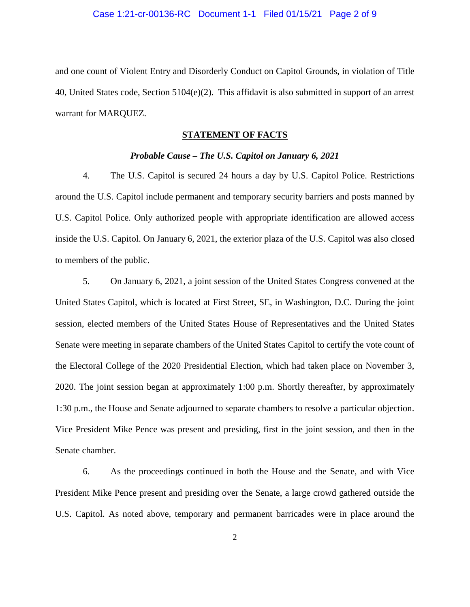and one count of Violent Entry and Disorderly Conduct on Capitol Grounds, in violation of Title 40, United States code, Section 5104(e)(2). This affidavit is also submitted in support of an arrest warrant for MARQUEZ.

# **STATEMENT OF FACTS**

### *Probable Cause – The U.S. Capitol on January 6, 2021*

4. The U.S. Capitol is secured 24 hours a day by U.S. Capitol Police. Restrictions around the U.S. Capitol include permanent and temporary security barriers and posts manned by U.S. Capitol Police. Only authorized people with appropriate identification are allowed access inside the U.S. Capitol. On January 6, 2021, the exterior plaza of the U.S. Capitol was also closed to members of the public.

5. On January 6, 2021, a joint session of the United States Congress convened at the United States Capitol, which is located at First Street, SE, in Washington, D.C. During the joint session, elected members of the United States House of Representatives and the United States Senate were meeting in separate chambers of the United States Capitol to certify the vote count of the Electoral College of the 2020 Presidential Election, which had taken place on November 3, 2020. The joint session began at approximately 1:00 p.m. Shortly thereafter, by approximately 1:30 p.m., the House and Senate adjourned to separate chambers to resolve a particular objection. Vice President Mike Pence was present and presiding, first in the joint session, and then in the Senate chamber.

6. As the proceedings continued in both the House and the Senate, and with Vice President Mike Pence present and presiding over the Senate, a large crowd gathered outside the U.S. Capitol. As noted above, temporary and permanent barricades were in place around the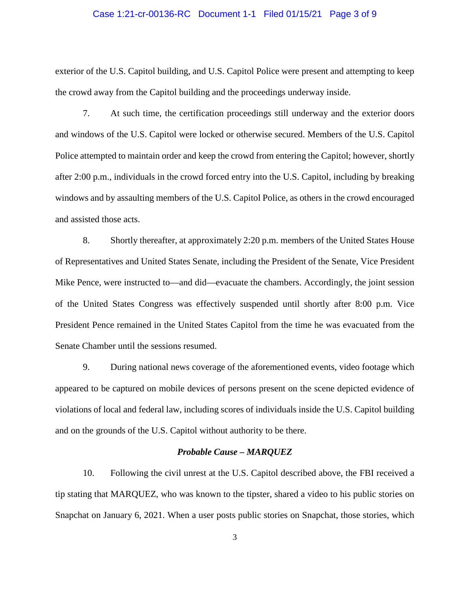### Case 1:21-cr-00136-RC Document 1-1 Filed 01/15/21 Page 3 of 9

exterior of the U.S. Capitol building, and U.S. Capitol Police were present and attempting to keep the crowd away from the Capitol building and the proceedings underway inside.

7. At such time, the certification proceedings still underway and the exterior doors and windows of the U.S. Capitol were locked or otherwise secured. Members of the U.S. Capitol Police attempted to maintain order and keep the crowd from entering the Capitol; however, shortly after 2:00 p.m., individuals in the crowd forced entry into the U.S. Capitol, including by breaking windows and by assaulting members of the U.S. Capitol Police, as others in the crowd encouraged and assisted those acts.

8. Shortly thereafter, at approximately 2:20 p.m. members of the United States House of Representatives and United States Senate, including the President of the Senate, Vice President Mike Pence, were instructed to—and did—evacuate the chambers. Accordingly, the joint session of the United States Congress was effectively suspended until shortly after 8:00 p.m. Vice President Pence remained in the United States Capitol from the time he was evacuated from the Senate Chamber until the sessions resumed.

9. During national news coverage of the aforementioned events, video footage which appeared to be captured on mobile devices of persons present on the scene depicted evidence of violations of local and federal law, including scores of individuals inside the U.S. Capitol building and on the grounds of the U.S. Capitol without authority to be there.

### *Probable Cause – MARQUEZ*

10. Following the civil unrest at the U.S. Capitol described above, the FBI received a tip stating that MARQUEZ, who was known to the tipster, shared a video to his public stories on Snapchat on January 6, 2021. When a user posts public stories on Snapchat, those stories, which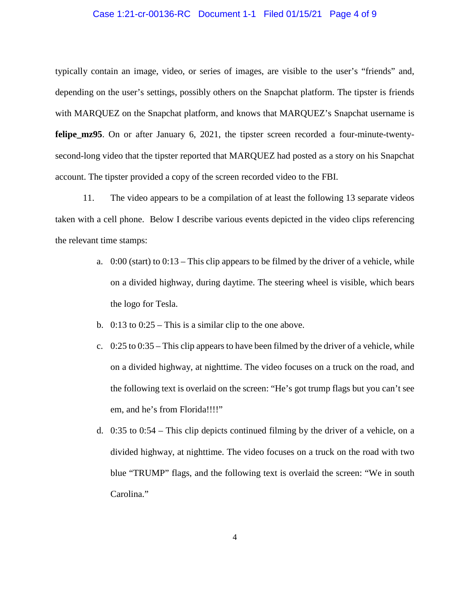### Case 1:21-cr-00136-RC Document 1-1 Filed 01/15/21 Page 4 of 9

typically contain an image, video, or series of images, are visible to the user's "friends" and, depending on the user's settings, possibly others on the Snapchat platform. The tipster is friends with MARQUEZ on the Snapchat platform, and knows that MARQUEZ's Snapchat username is **felipe\_mz95**. On or after January 6, 2021, the tipster screen recorded a four-minute-twentysecond-long video that the tipster reported that MARQUEZ had posted as a story on his Snapchat account. The tipster provided a copy of the screen recorded video to the FBI.

11. The video appears to be a compilation of at least the following 13 separate videos taken with a cell phone. Below I describe various events depicted in the video clips referencing the relevant time stamps:

- a. 0:00 (start) to 0:13 This clip appears to be filmed by the driver of a vehicle, while on a divided highway, during daytime. The steering wheel is visible, which bears the logo for Tesla.
- b.  $0:13$  to  $0:25$  This is a similar clip to the one above.
- c. 0:25 to 0:35 This clip appears to have been filmed by the driver of a vehicle, while on a divided highway, at nighttime. The video focuses on a truck on the road, and the following text is overlaid on the screen: "He's got trump flags but you can't see em, and he's from Florida!!!!"
- d. 0:35 to 0:54 This clip depicts continued filming by the driver of a vehicle, on a divided highway, at nighttime. The video focuses on a truck on the road with two blue "TRUMP" flags, and the following text is overlaid the screen: "We in south Carolina."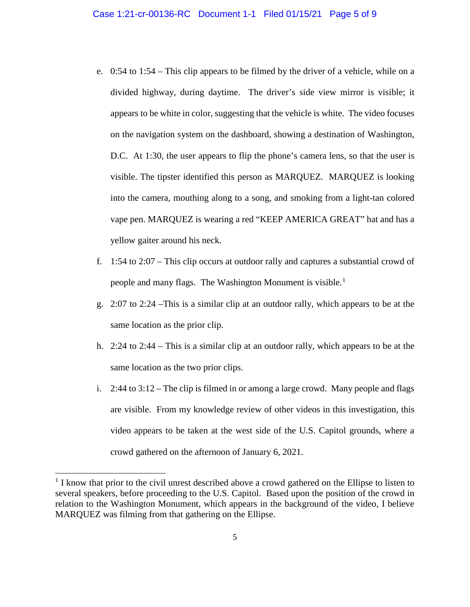- e. 0:54 to 1:54 This clip appears to be filmed by the driver of a vehicle, while on a divided highway, during daytime. The driver's side view mirror is visible; it appears to be white in color, suggesting that the vehicle is white. The video focuses on the navigation system on the dashboard, showing a destination of Washington, D.C. At 1:30, the user appears to flip the phone's camera lens, so that the user is visible. The tipster identified this person as MARQUEZ. MARQUEZ is looking into the camera, mouthing along to a song, and smoking from a light-tan colored vape pen. MARQUEZ is wearing a red "KEEP AMERICA GREAT" hat and has a yellow gaiter around his neck.
- f. 1:54 to 2:07 This clip occurs at outdoor rally and captures a substantial crowd of people and many flags. The Washington Monument is visible.<sup>1</sup>
- g. 2:07 to 2:24 –This is a similar clip at an outdoor rally, which appears to be at the same location as the prior clip.
- h. 2:24 to 2:44 This is a similar clip at an outdoor rally, which appears to be at the same location as the two prior clips.
- i. 2:44 to 3:12 The clip is filmed in or among a large crowd. Many people and flags are visible. From my knowledge review of other videos in this investigation, this video appears to be taken at the west side of the U.S. Capitol grounds, where a crowd gathered on the afternoon of January 6, 2021.

 $\overline{a}$ 

<sup>&</sup>lt;sup>1</sup> I know that prior to the civil unrest described above a crowd gathered on the Ellipse to listen to several speakers, before proceeding to the U.S. Capitol. Based upon the position of the crowd in relation to the Washington Monument, which appears in the background of the video, I believe MARQUEZ was filming from that gathering on the Ellipse.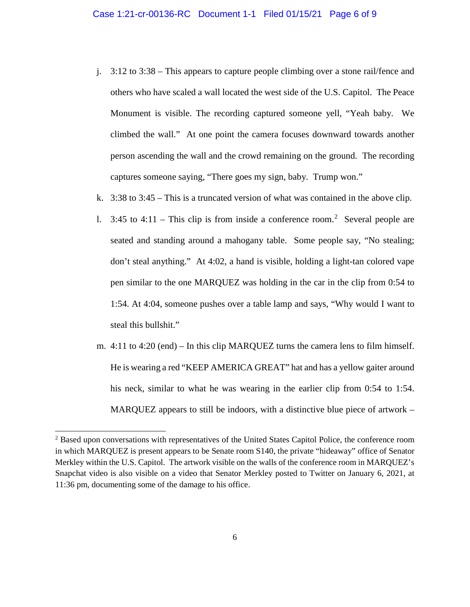- j. 3:12 to 3:38 This appears to capture people climbing over a stone rail/fence and others who have scaled a wall located the west side of the U.S. Capitol. The Peace Monument is visible. The recording captured someone yell, "Yeah baby. We climbed the wall." At one point the camera focuses downward towards another person ascending the wall and the crowd remaining on the ground. The recording captures someone saying, "There goes my sign, baby. Trump won."
- k. 3:38 to 3:45 This is a truncated version of what was contained in the above clip.
- 1. 3:45 to 4:11 This clip is from inside a conference room.<sup>2</sup> Several people are seated and standing around a mahogany table. Some people say, "No stealing; don't steal anything." At 4:02, a hand is visible, holding a light-tan colored vape pen similar to the one MARQUEZ was holding in the car in the clip from 0:54 to 1:54. At 4:04, someone pushes over a table lamp and says, "Why would I want to steal this bullshit."
- m. 4:11 to 4:20 (end) In this clip MARQUEZ turns the camera lens to film himself. He is wearing a red "KEEP AMERICA GREAT" hat and has a yellow gaiter around his neck, similar to what he was wearing in the earlier clip from 0:54 to 1:54. MARQUEZ appears to still be indoors, with a distinctive blue piece of artwork –

 $\overline{a}$ 

<sup>2</sup> Based upon conversations with representatives of the United States Capitol Police, the conference room in which MARQUEZ is present appears to be Senate room S140, the private "hideaway" office of Senator Merkley within the U.S. Capitol. The artwork visible on the walls of the conference room in MARQUEZ's Snapchat video is also visible on a video that Senator Merkley posted to Twitter on January 6, 2021, at 11:36 pm, documenting some of the damage to his office.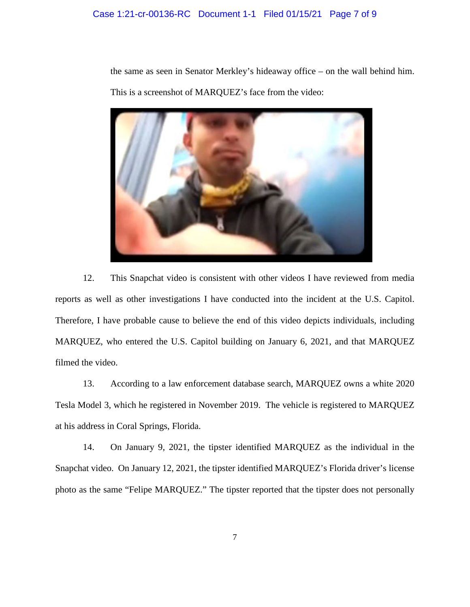the same as seen in Senator Merkley's hideaway office – on the wall behind him. This is a screenshot of MARQUEZ's face from the video:



12. This Snapchat video is consistent with other videos I have reviewed from media reports as well as other investigations I have conducted into the incident at the U.S. Capitol. Therefore, I have probable cause to believe the end of this video depicts individuals, including MARQUEZ, who entered the U.S. Capitol building on January 6, 2021, and that MARQUEZ filmed the video.

13. According to a law enforcement database search, MARQUEZ owns a white 2020 Tesla Model 3, which he registered in November 2019. The vehicle is registered to MARQUEZ at his address in Coral Springs, Florida.

14. On January 9, 2021, the tipster identified MARQUEZ as the individual in the Snapchat video. On January 12, 2021, the tipster identified MARQUEZ's Florida driver's license photo as the same "Felipe MARQUEZ." The tipster reported that the tipster does not personally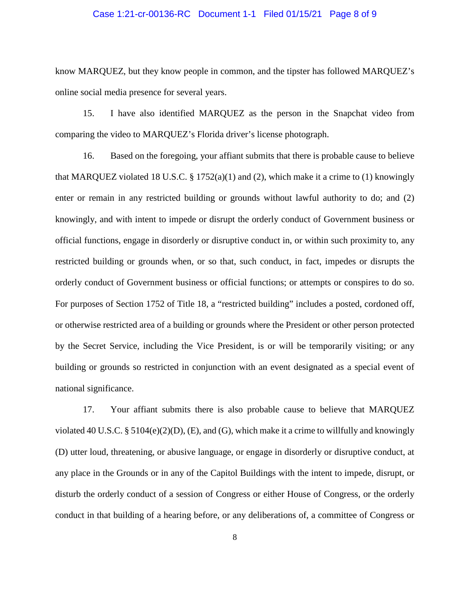### Case 1:21-cr-00136-RC Document 1-1 Filed 01/15/21 Page 8 of 9

know MARQUEZ, but they know people in common, and the tipster has followed MARQUEZ's online social media presence for several years.

15. I have also identified MARQUEZ as the person in the Snapchat video from comparing the video to MARQUEZ's Florida driver's license photograph.

16. Based on the foregoing, your affiant submits that there is probable cause to believe that MARQUEZ violated 18 U.S.C.  $\S$  1752(a)(1) and (2), which make it a crime to (1) knowingly enter or remain in any restricted building or grounds without lawful authority to do; and (2) knowingly, and with intent to impede or disrupt the orderly conduct of Government business or official functions, engage in disorderly or disruptive conduct in, or within such proximity to, any restricted building or grounds when, or so that, such conduct, in fact, impedes or disrupts the orderly conduct of Government business or official functions; or attempts or conspires to do so. For purposes of Section 1752 of Title 18, a "restricted building" includes a posted, cordoned off, or otherwise restricted area of a building or grounds where the President or other person protected by the Secret Service, including the Vice President, is or will be temporarily visiting; or any building or grounds so restricted in conjunction with an event designated as a special event of national significance.

17. Your affiant submits there is also probable cause to believe that MARQUEZ violated 40 U.S.C. § 5104(e)(2)(D), (E), and (G), which make it a crime to willfully and knowingly (D) utter loud, threatening, or abusive language, or engage in disorderly or disruptive conduct, at any place in the Grounds or in any of the Capitol Buildings with the intent to impede, disrupt, or disturb the orderly conduct of a session of Congress or either House of Congress, or the orderly conduct in that building of a hearing before, or any deliberations of, a committee of Congress or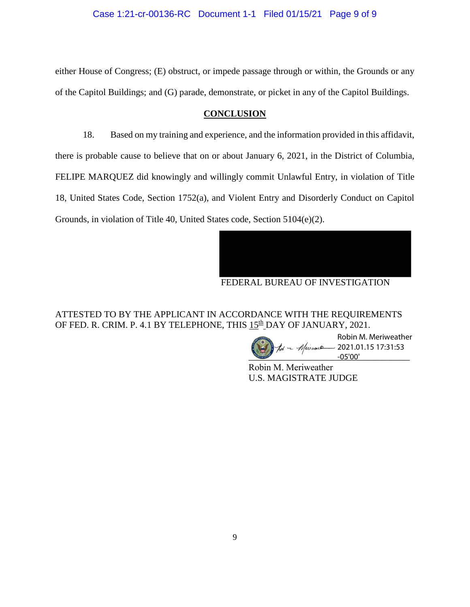either House of Congress; (E) obstruct, or impede passage through or within, the Grounds or any of the Capitol Buildings; and (G) parade, demonstrate, or picket in any of the Capitol Buildings.

# **CONCLUSION**

18. Based on my training and experience, and the information provided in this affidavit, there is probable cause to believe that on or about January 6, 2021, in the District of Columbia, FELIPE MARQUEZ did knowingly and willingly commit Unlawful Entry, in violation of Title 18, United States Code, Section 1752(a), and Violent Entry and Disorderly Conduct on Capitol Grounds, in violation of Title 40, United States code, Section 5104(e)(2).



ATTESTED TO BY THE APPLICANT IN ACCORDANCE WITH THE REQUIREMENTS OF FED. R. CRIM. P. 4.1 BY TELEPHONE, THIS 15<sup>th</sup> DAY OF JANUARY, 2021.

 $-05'00'$ Robin M. Meriweather  $\sim$  Meuwack 2021.01.15 17:31:53

Robin M. Meriweather U.S. MAGISTRATE JUDGE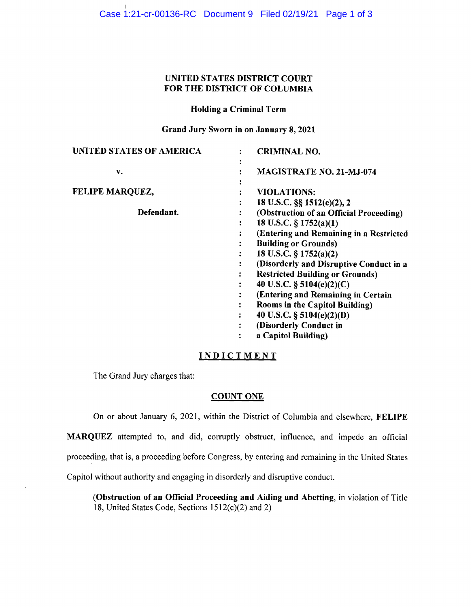Case 1:21-cr-00136-RC Document 9 Filed 02/19/21 Page 1 of 3

# **UNITED STATES DISTRICT COURT FOR THE DISTRICT OF COLUMBIA**

# **Holding a Criminal Term**

**Grand Jury Sworn in on January 8, 2021** 

| <b>UNITED STATES OF AMERICA</b> | <b>CRIMINAL NO.</b>                     |
|---------------------------------|-----------------------------------------|
| v.                              | <b>MAGISTRATE NO. 21-MJ-074</b>         |
| FELIPE MARQUEZ,                 | <b>VIOLATIONS:</b>                      |
|                                 | 18 U.S.C. §§ 1512(e)(2), 2              |
| Defendant.                      | (Obstruction of an Official Proceeding) |
|                                 | 18 U.S.C. $\S$ 1752(a)(1)               |
|                                 | (Entering and Remaining in a Restricted |
|                                 | <b>Building or Grounds</b> )            |
|                                 | 18 U.S.C. $\S 1752(a)(2)$               |
|                                 | (Disorderly and Disruptive Conduct in a |
|                                 | <b>Restricted Building or Grounds)</b>  |
|                                 | 40 U.S.C. $\S$ 5104(e)(2)(C)            |
|                                 | (Entering and Remaining in Certain      |
|                                 | Rooms in the Capitol Building)          |
|                                 | 40 U.S.C. § 5104(e)(2)(D)               |
|                                 | (Disorderly Conduct in                  |
|                                 | a Capitol Building)                     |

# **INDICTMENT**

The Grand Jury charges that:

# **COUNT ONE**

On or about January 6, 2021, within the District of Columbia and elsewhere, **FELIPE MARQUEZ** attempted to, and did, corruptly obstruct, influence, and impede an official proceeding, that is, a proceeding before Congress, by entering and remaining in the United States Capitol without authority and engaging in disorderly and disruptive conduct.

**(Obstruction of an Official Proceeding and Aiding and Abetting,** in violation of Title 18, United States Code, Sections 1512(c)(2) and 2)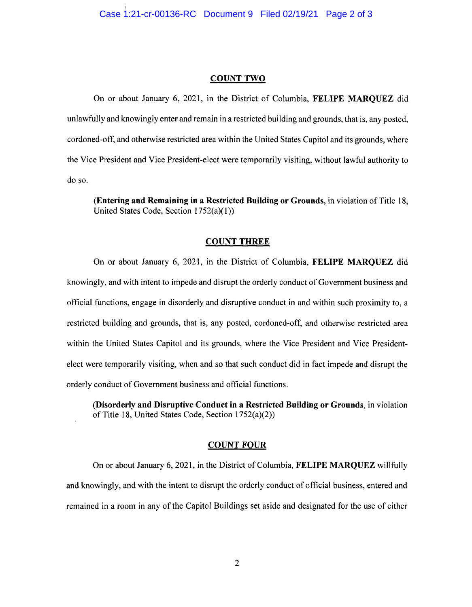#### **COUNT TWO**

On or about January 6, 2021, in the District of Columbia, **FELIPE MARQUEZ** did unlawfully and knowingly enter and remain in a restricted building and grounds, that is, any posted, cordoned-off, and otherwise restricted area within the United States Capitol and its grounds, where the Vice President and Vice President-elect were temporarily visiting, without lawful authority to do so.

**(Entering and Remaining in a Restricted Building or Grounds,** in violation of Title 18, United States Code, Section 1752(a)(l))

#### **COUNT THREE**

On or about January 6, 2021, in the District of Columbia, **FELIPE MARQUEZ** did knowingly, and with intent to impede and disrupt the orderly conduct of Government business and official functions, engage in disorderly and disruptive conduct in and within such proximity to, a restricted building and grounds, that is, any posted, cordoned-off, and otherwise restricted area within the United States Capitol and its grounds, where the Vice President and Vice Presidentelect were temporarily visiting, when and so that such conduct did in fact impede and disrupt the orderly conduct of Government business and official functions.

**(Disorderly and Disruptive Conduct in a Restricted Building or Grounds,** in violation of Title 18, United States Code, Section l 752(a)(2))

#### **COUNT FOUR**

On or about January 6, 2021, in the District of Columbia, **FELIPE MARQUEZ** willfully and knowingly, and with the intent to disrupt the orderly conduct of official business, entered and remained in a room in any of the Capitol Buildings set aside and designated for the use of either